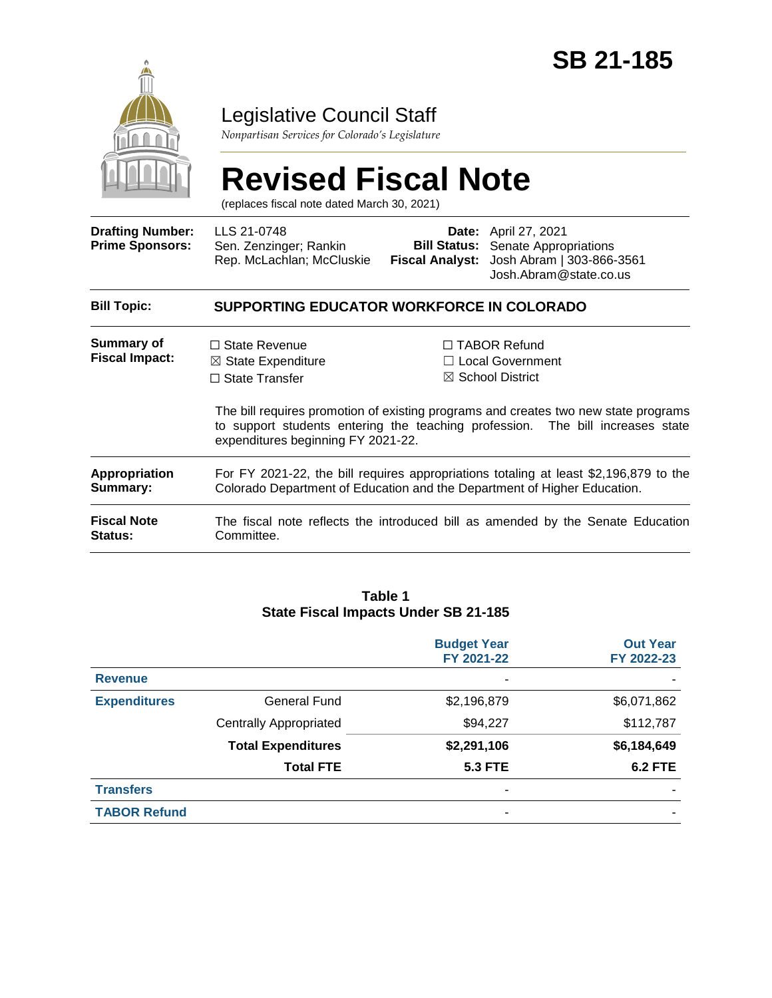

### Legislative Council Staff

*Nonpartisan Services for Colorado's Legislature*

# **Revised Fiscal Note**

(replaces fiscal note dated March 30, 2021)

| <b>Drafting Number:</b><br><b>Prime Sponsors:</b> | LLS 21-0748<br>Sen. Zenzinger; Rankin<br>Rep. McLachlan; McCluskie                                                                                                | <b>Fiscal Analyst:</b> | <b>Date:</b> April 27, 2021<br><b>Bill Status:</b> Senate Appropriations<br>Josh Abram   303-866-3561<br>Josh.Abram@state.co.us                                                                                                                        |  |  |
|---------------------------------------------------|-------------------------------------------------------------------------------------------------------------------------------------------------------------------|------------------------|--------------------------------------------------------------------------------------------------------------------------------------------------------------------------------------------------------------------------------------------------------|--|--|
| <b>Bill Topic:</b>                                | SUPPORTING EDUCATOR WORKFORCE IN COLORADO                                                                                                                         |                        |                                                                                                                                                                                                                                                        |  |  |
| <b>Summary of</b><br><b>Fiscal Impact:</b>        | $\Box$ State Revenue<br>$\boxtimes$ State Expenditure<br>$\Box$ State Transfer<br>expenditures beginning FY 2021-22.                                              |                        | $\Box$ TABOR Refund<br>$\Box$ Local Government<br>$\boxtimes$ School District<br>The bill requires promotion of existing programs and creates two new state programs<br>to support students entering the teaching profession. The bill increases state |  |  |
| <b>Appropriation</b><br>Summary:                  | For FY 2021-22, the bill requires appropriations totaling at least \$2,196,879 to the<br>Colorado Department of Education and the Department of Higher Education. |                        |                                                                                                                                                                                                                                                        |  |  |
| <b>Fiscal Note</b><br><b>Status:</b>              | The fiscal note reflects the introduced bill as amended by the Senate Education<br>Committee.                                                                     |                        |                                                                                                                                                                                                                                                        |  |  |

#### **Table 1 State Fiscal Impacts Under SB 21-185**

|                     |                               | <b>Budget Year</b><br>FY 2021-22 | <b>Out Year</b><br>FY 2022-23 |
|---------------------|-------------------------------|----------------------------------|-------------------------------|
| <b>Revenue</b>      |                               | ٠                                |                               |
| <b>Expenditures</b> | <b>General Fund</b>           | \$2,196,879                      | \$6,071,862                   |
|                     | <b>Centrally Appropriated</b> | \$94,227                         | \$112,787                     |
|                     | <b>Total Expenditures</b>     | \$2,291,106                      | \$6,184,649                   |
|                     | <b>Total FTE</b>              | <b>5.3 FTE</b>                   | <b>6.2 FTE</b>                |
| <b>Transfers</b>    |                               | ٠                                |                               |
| <b>TABOR Refund</b> |                               |                                  |                               |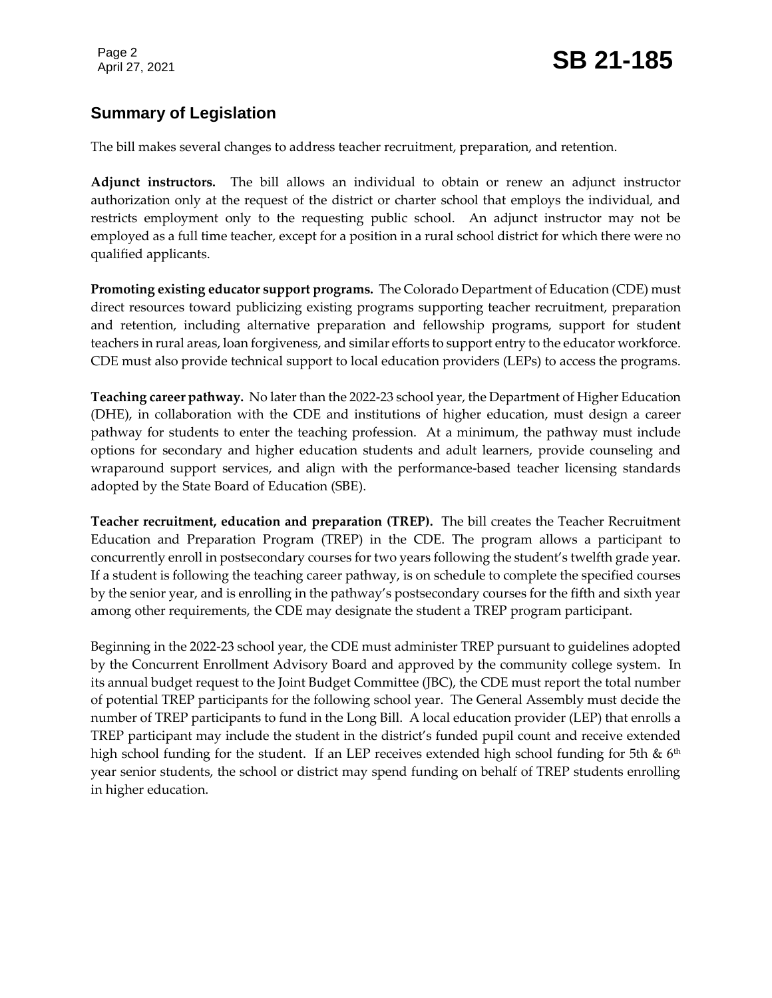### **Summary of Legislation**

The bill makes several changes to address teacher recruitment, preparation, and retention.

**Adjunct instructors.** The bill allows an individual to obtain or renew an adjunct instructor authorization only at the request of the district or charter school that employs the individual, and restricts employment only to the requesting public school. An adjunct instructor may not be employed as a full time teacher, except for a position in a rural school district for which there were no qualified applicants.

**Promoting existing educator support programs.** The Colorado Department of Education (CDE) must direct resources toward publicizing existing programs supporting teacher recruitment, preparation and retention, including alternative preparation and fellowship programs, support for student teachers in rural areas, loan forgiveness, and similar efforts to support entry to the educator workforce. CDE must also provide technical support to local education providers (LEPs) to access the programs.

**Teaching career pathway.** No later than the 2022-23 school year, the Department of Higher Education (DHE), in collaboration with the CDE and institutions of higher education, must design a career pathway for students to enter the teaching profession. At a minimum, the pathway must include options for secondary and higher education students and adult learners, provide counseling and wraparound support services, and align with the performance-based teacher licensing standards adopted by the State Board of Education (SBE).

**Teacher recruitment, education and preparation (TREP).** The bill creates the Teacher Recruitment Education and Preparation Program (TREP) in the CDE. The program allows a participant to concurrently enroll in postsecondary courses for two years following the student's twelfth grade year. If a student is following the teaching career pathway, is on schedule to complete the specified courses by the senior year, and is enrolling in the pathway's postsecondary courses for the fifth and sixth year among other requirements, the CDE may designate the student a TREP program participant.

Beginning in the 2022-23 school year, the CDE must administer TREP pursuant to guidelines adopted by the Concurrent Enrollment Advisory Board and approved by the community college system. In its annual budget request to the Joint Budget Committee (JBC), the CDE must report the total number of potential TREP participants for the following school year. The General Assembly must decide the number of TREP participants to fund in the Long Bill. A local education provider (LEP) that enrolls a TREP participant may include the student in the district's funded pupil count and receive extended high school funding for the student. If an LEP receives extended high school funding for 5th  $\&$  6<sup>th</sup> year senior students, the school or district may spend funding on behalf of TREP students enrolling in higher education.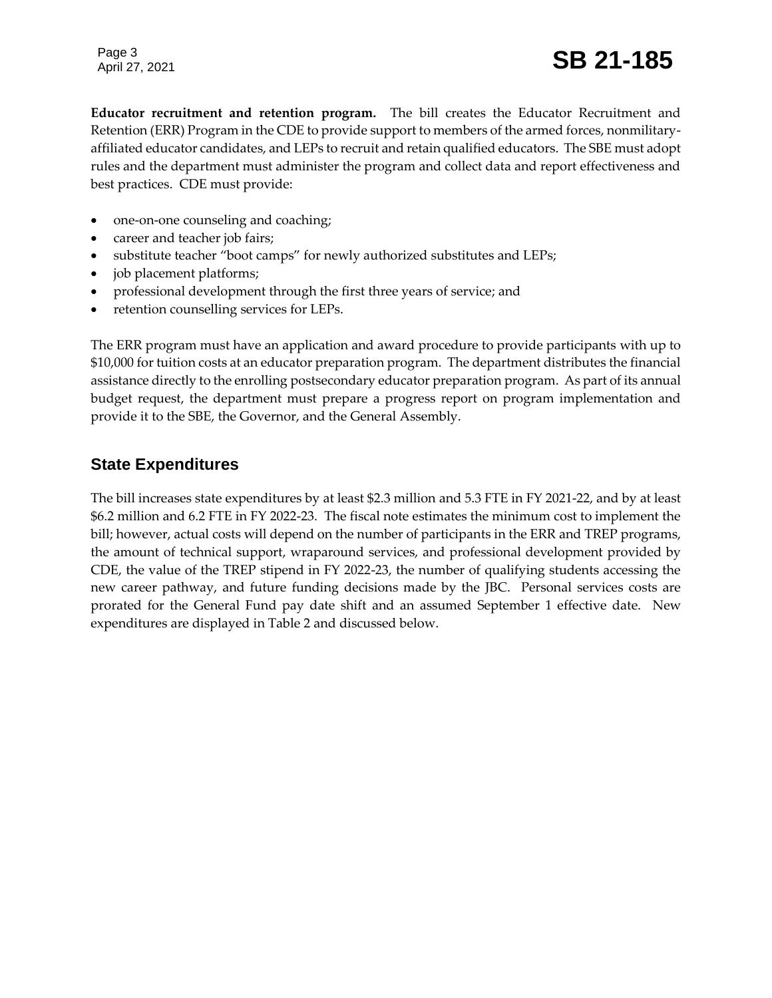Page 3

## Page 3<br>April 27, 2021 **SB 21-185**

**Educator recruitment and retention program.** The bill creates the Educator Recruitment and Retention (ERR) Program in the CDE to provide support to members of the armed forces, nonmilitaryaffiliated educator candidates, and LEPs to recruit and retain qualified educators. The SBE must adopt rules and the department must administer the program and collect data and report effectiveness and best practices. CDE must provide:

- one-on-one counseling and coaching;
- career and teacher job fairs;
- substitute teacher "boot camps" for newly authorized substitutes and LEPs;
- job placement platforms;
- professional development through the first three years of service; and
- retention counselling services for LEPs.

The ERR program must have an application and award procedure to provide participants with up to \$10,000 for tuition costs at an educator preparation program. The department distributes the financial assistance directly to the enrolling postsecondary educator preparation program. As part of its annual budget request, the department must prepare a progress report on program implementation and provide it to the SBE, the Governor, and the General Assembly.

#### **State Expenditures**

The bill increases state expenditures by at least \$2.3 million and 5.3 FTE in FY 2021-22, and by at least \$6.2 million and 6.2 FTE in FY 2022-23. The fiscal note estimates the minimum cost to implement the bill; however, actual costs will depend on the number of participants in the ERR and TREP programs, the amount of technical support, wraparound services, and professional development provided by CDE, the value of the TREP stipend in FY 2022-23, the number of qualifying students accessing the new career pathway, and future funding decisions made by the JBC. Personal services costs are prorated for the General Fund pay date shift and an assumed September 1 effective date. New expenditures are displayed in Table 2 and discussed below.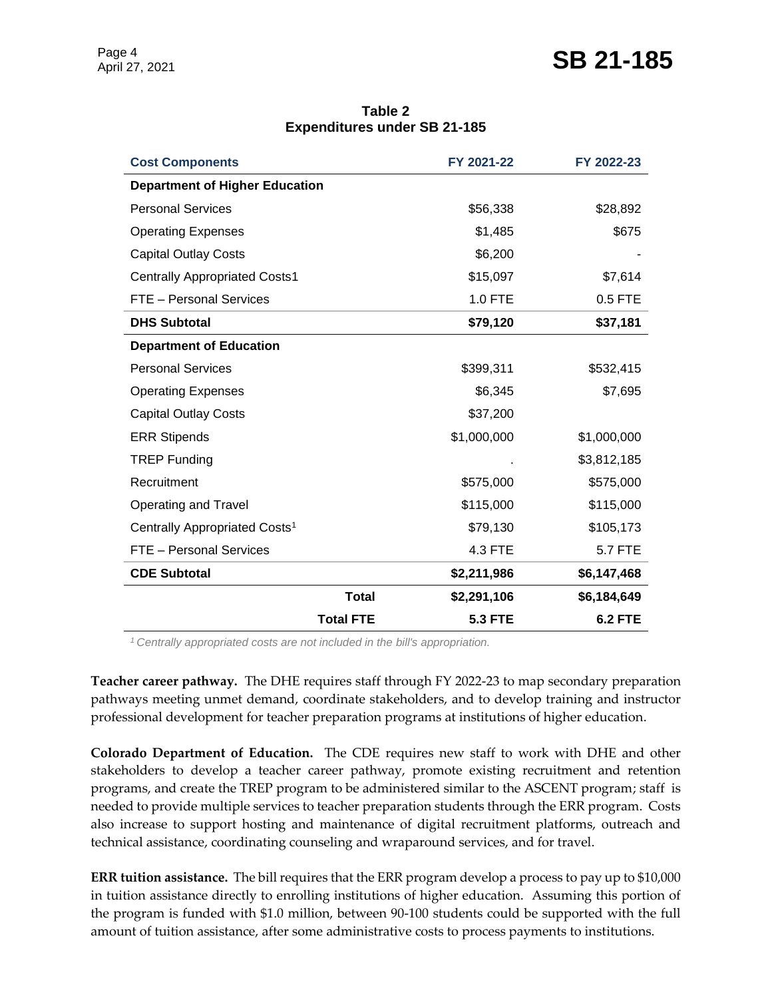### Page 4<br>April 27, 2021 **SB 21-185**

**Table 2 Expenditures under SB 21-185**

| <b>Cost Components</b>                    |                  | FY 2021-22     | FY 2022-23     |
|-------------------------------------------|------------------|----------------|----------------|
| <b>Department of Higher Education</b>     |                  |                |                |
| <b>Personal Services</b>                  |                  | \$56,338       | \$28,892       |
| <b>Operating Expenses</b>                 |                  | \$1,485        | \$675          |
| <b>Capital Outlay Costs</b>               |                  | \$6,200        |                |
| <b>Centrally Appropriated Costs1</b>      |                  | \$15,097       | \$7,614        |
| <b>FTE</b> - Personal Services            |                  | 1.0 FTE        | 0.5 FTE        |
| <b>DHS Subtotal</b>                       |                  | \$79,120       | \$37,181       |
| <b>Department of Education</b>            |                  |                |                |
| <b>Personal Services</b>                  |                  | \$399,311      | \$532,415      |
| <b>Operating Expenses</b>                 |                  | \$6,345        | \$7,695        |
| <b>Capital Outlay Costs</b>               |                  | \$37,200       |                |
| <b>ERR Stipends</b>                       |                  | \$1,000,000    | \$1,000,000    |
| <b>TREP Funding</b>                       |                  |                | \$3,812,185    |
| Recruitment                               |                  | \$575,000      | \$575,000      |
| Operating and Travel                      |                  | \$115,000      | \$115,000      |
| Centrally Appropriated Costs <sup>1</sup> |                  | \$79,130       | \$105,173      |
| <b>FTE</b> - Personal Services            |                  | 4.3 FTE        | 5.7 FTE        |
| <b>CDE Subtotal</b>                       |                  | \$2,211,986    | \$6,147,468    |
|                                           | <b>Total</b>     | \$2,291,106    | \$6,184,649    |
|                                           | <b>Total FTE</b> | <b>5.3 FTE</b> | <b>6.2 FTE</b> |

*<sup>1</sup>Centrally appropriated costs are not included in the bill's appropriation.*

**Teacher career pathway.** The DHE requires staff through FY 2022-23 to map secondary preparation pathways meeting unmet demand, coordinate stakeholders, and to develop training and instructor professional development for teacher preparation programs at institutions of higher education.

**Colorado Department of Education.** The CDE requires new staff to work with DHE and other stakeholders to develop a teacher career pathway, promote existing recruitment and retention programs, and create the TREP program to be administered similar to the ASCENT program; staff is needed to provide multiple services to teacher preparation students through the ERR program. Costs also increase to support hosting and maintenance of digital recruitment platforms, outreach and technical assistance, coordinating counseling and wraparound services, and for travel.

**ERR tuition assistance.** The bill requires that the ERR program develop a process to pay up to \$10,000 in tuition assistance directly to enrolling institutions of higher education. Assuming this portion of the program is funded with \$1.0 million, between 90-100 students could be supported with the full amount of tuition assistance, after some administrative costs to process payments to institutions.